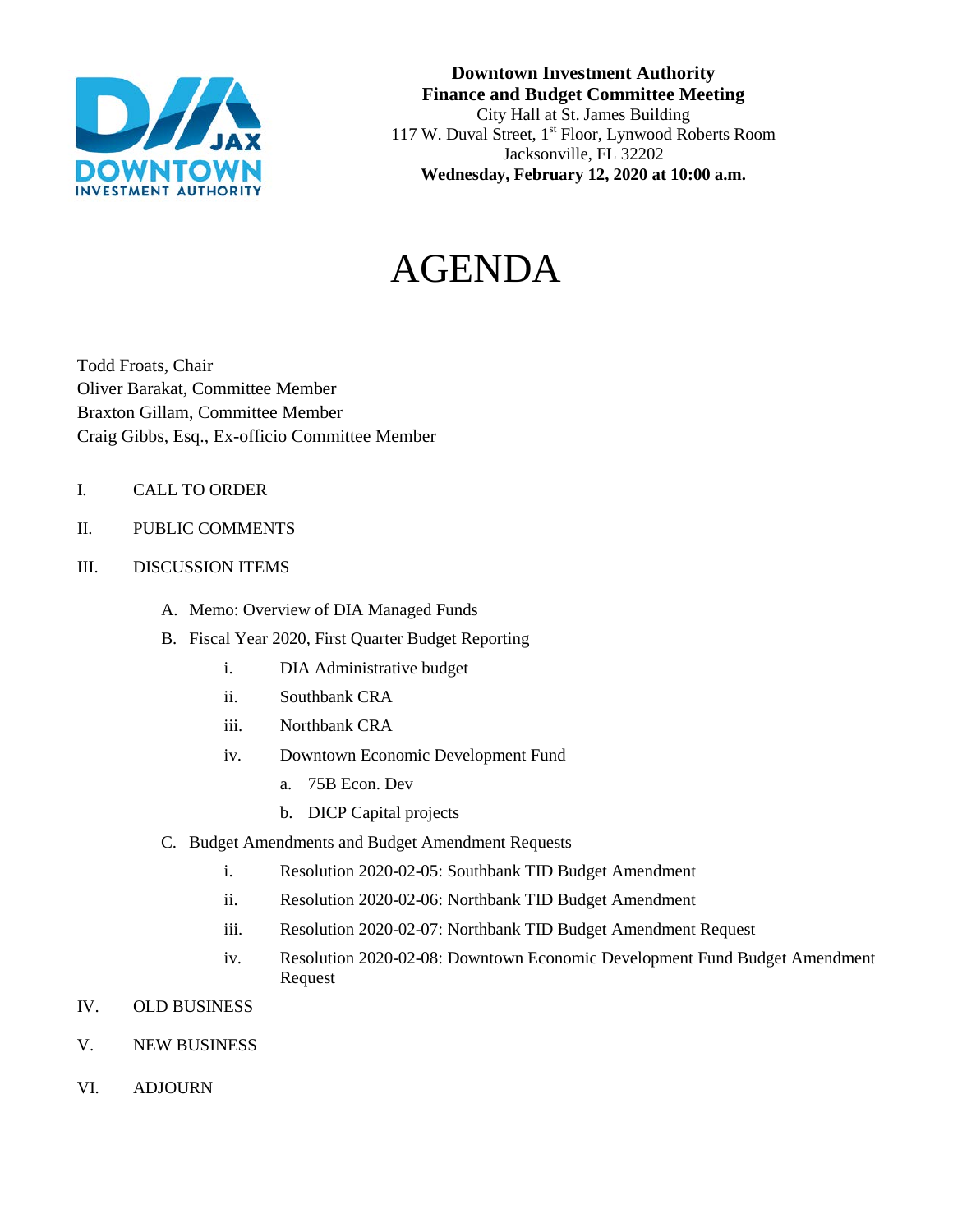

#### **Downtown Investment Authority Finance and Budget Committee Meeting** City Hall at St. James Building 117 W. Duval Street, 1<sup>st</sup> Floor, Lynwood Roberts Room Jacksonville, FL 32202 **Wednesday, February 12, 2020 at 10:00 a.m.**

# AGENDA

Todd Froats, Chair Oliver Barakat, Committee Member Braxton Gillam, Committee Member Craig Gibbs, Esq., Ex-officio Committee Member

- I. CALL TO ORDER
- II. PUBLIC COMMENTS
- III. DISCUSSION ITEMS
	- A. Memo: Overview of DIA Managed Funds
	- B. Fiscal Year 2020, First Quarter Budget Reporting
		- i. DIA Administrative budget
		- ii. Southbank CRA
		- iii. Northbank CRA
		- iv. Downtown Economic Development Fund
			- a. 75B Econ. Dev
			- b. DICP Capital projects
	- C. Budget Amendments and Budget Amendment Requests
		- i. Resolution 2020-02-05: Southbank TID Budget Amendment
		- ii. Resolution 2020-02-06: Northbank TID Budget Amendment
		- iii. Resolution 2020-02-07: Northbank TID Budget Amendment Request
		- iv. Resolution 2020-02-08: Downtown Economic Development Fund Budget Amendment Request
- IV. OLD BUSINESS
- V. NEW BUSINESS
- VI. ADJOURN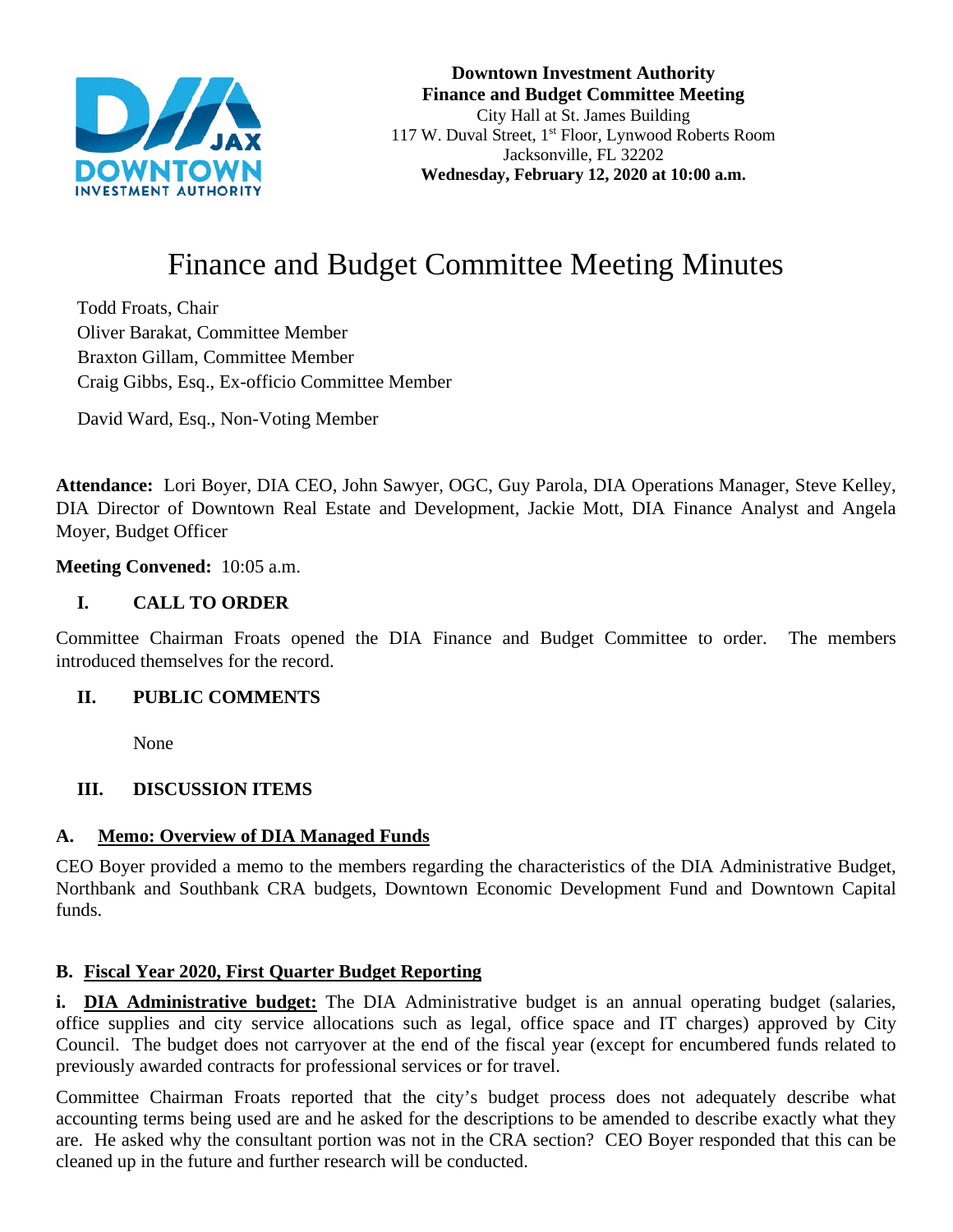

**Downtown Investment Authority Finance and Budget Committee Meeting** City Hall at St. James Building 117 W. Duval Street, 1st Floor, Lynwood Roberts Room Jacksonville, FL 32202 **Wednesday, February 12, 2020 at 10:00 a.m.** 

# Finance and Budget Committee Meeting Minutes

Todd Froats, Chair Oliver Barakat, Committee Member Braxton Gillam, Committee Member Craig Gibbs, Esq., Ex-officio Committee Member

David Ward, Esq., Non-Voting Member

**Attendance:** Lori Boyer, DIA CEO, John Sawyer, OGC, Guy Parola, DIA Operations Manager, Steve Kelley, DIA Director of Downtown Real Estate and Development, Jackie Mott, DIA Finance Analyst and Angela Moyer, Budget Officer

**Meeting Convened:** 10:05 a.m.

#### **I. CALL TO ORDER**

Committee Chairman Froats opened the DIA Finance and Budget Committee to order. The members introduced themselves for the record.

#### **II. PUBLIC COMMENTS**

None

#### **III. DISCUSSION ITEMS**

#### **A. Memo: Overview of DIA Managed Funds**

CEO Boyer provided a memo to the members regarding the characteristics of the DIA Administrative Budget, Northbank and Southbank CRA budgets, Downtown Economic Development Fund and Downtown Capital funds.

#### **B. Fiscal Year 2020, First Quarter Budget Reporting**

**i. DIA Administrative budget:** The DIA Administrative budget is an annual operating budget (salaries, office supplies and city service allocations such as legal, office space and IT charges) approved by City Council. The budget does not carryover at the end of the fiscal year (except for encumbered funds related to previously awarded contracts for professional services or for travel.

Committee Chairman Froats reported that the city's budget process does not adequately describe what accounting terms being used are and he asked for the descriptions to be amended to describe exactly what they are. He asked why the consultant portion was not in the CRA section? CEO Boyer responded that this can be cleaned up in the future and further research will be conducted.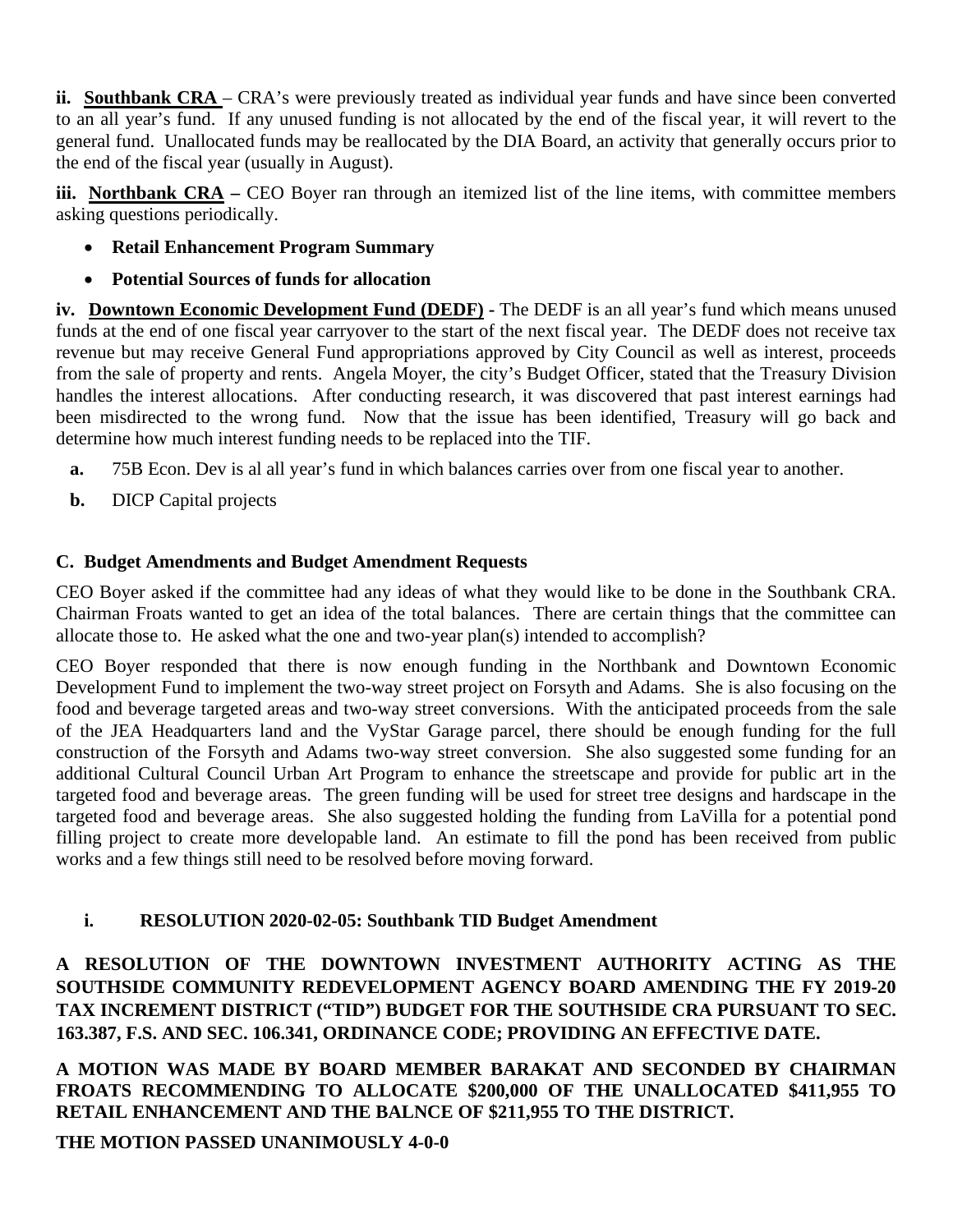**ii. Southbank CRA** – CRA's were previously treated as individual year funds and have since been converted to an all year's fund. If any unused funding is not allocated by the end of the fiscal year, it will revert to the general fund. Unallocated funds may be reallocated by the DIA Board, an activity that generally occurs prior to the end of the fiscal year (usually in August).

**iii.** Northbank CRA – CEO Boyer ran through an itemized list of the line items, with committee members asking questions periodically.

- **Retail Enhancement Program Summary**
- **Potential Sources of funds for allocation**

**iv. Downtown Economic Development Fund (DEDF) -** The DEDF is an all year's fund which means unused funds at the end of one fiscal year carryover to the start of the next fiscal year. The DEDF does not receive tax revenue but may receive General Fund appropriations approved by City Council as well as interest, proceeds from the sale of property and rents. Angela Moyer, the city's Budget Officer, stated that the Treasury Division handles the interest allocations. After conducting research, it was discovered that past interest earnings had been misdirected to the wrong fund. Now that the issue has been identified, Treasury will go back and determine how much interest funding needs to be replaced into the TIF.

- **a.** 75B Econ. Dev is al all year's fund in which balances carries over from one fiscal year to another.
- **b.** DICP Capital projects

# **C. Budget Amendments and Budget Amendment Requests**

CEO Boyer asked if the committee had any ideas of what they would like to be done in the Southbank CRA. Chairman Froats wanted to get an idea of the total balances. There are certain things that the committee can allocate those to. He asked what the one and two-year plan(s) intended to accomplish?

CEO Boyer responded that there is now enough funding in the Northbank and Downtown Economic Development Fund to implement the two-way street project on Forsyth and Adams. She is also focusing on the food and beverage targeted areas and two-way street conversions. With the anticipated proceeds from the sale of the JEA Headquarters land and the VyStar Garage parcel, there should be enough funding for the full construction of the Forsyth and Adams two-way street conversion. She also suggested some funding for an additional Cultural Council Urban Art Program to enhance the streetscape and provide for public art in the targeted food and beverage areas. The green funding will be used for street tree designs and hardscape in the targeted food and beverage areas. She also suggested holding the funding from LaVilla for a potential pond filling project to create more developable land. An estimate to fill the pond has been received from public works and a few things still need to be resolved before moving forward.

# **i. RESOLUTION 2020-02-05: Southbank TID Budget Amendment**

**A RESOLUTION OF THE DOWNTOWN INVESTMENT AUTHORITY ACTING AS THE SOUTHSIDE COMMUNITY REDEVELOPMENT AGENCY BOARD AMENDING THE FY 2019-20 TAX INCREMENT DISTRICT ("TID") BUDGET FOR THE SOUTHSIDE CRA PURSUANT TO SEC. 163.387, F.S. AND SEC. 106.341, ORDINANCE CODE; PROVIDING AN EFFECTIVE DATE.**

**A MOTION WAS MADE BY BOARD MEMBER BARAKAT AND SECONDED BY CHAIRMAN FROATS RECOMMENDING TO ALLOCATE \$200,000 OF THE UNALLOCATED \$411,955 TO RETAIL ENHANCEMENT AND THE BALNCE OF \$211,955 TO THE DISTRICT.** 

**THE MOTION PASSED UNANIMOUSLY 4-0-0**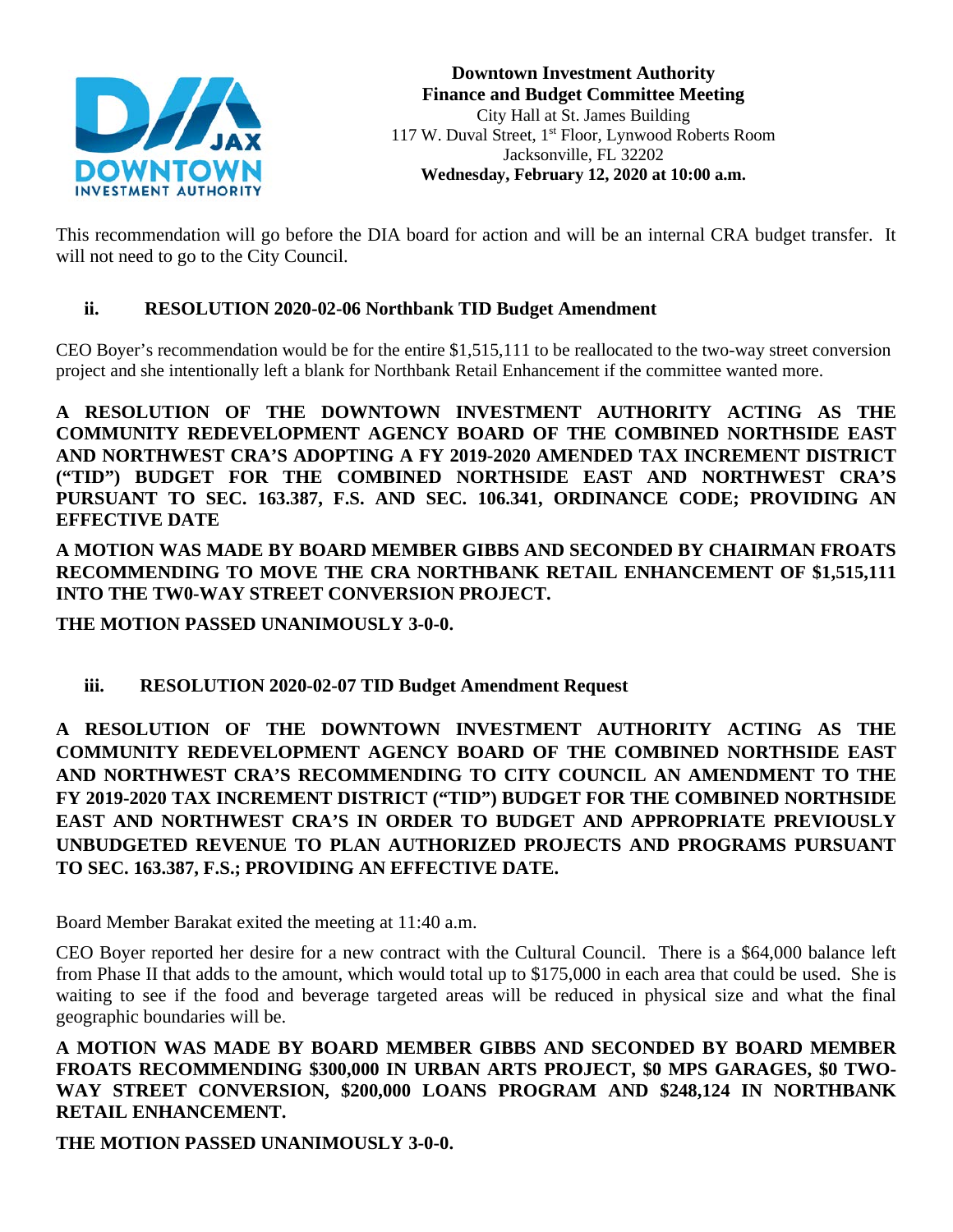

This recommendation will go before the DIA board for action and will be an internal CRA budget transfer. It will not need to go to the City Council.

# **ii. RESOLUTION 2020-02-06 Northbank TID Budget Amendment**

CEO Boyer's recommendation would be for the entire \$1,515,111 to be reallocated to the two-way street conversion project and she intentionally left a blank for Northbank Retail Enhancement if the committee wanted more.

**A RESOLUTION OF THE DOWNTOWN INVESTMENT AUTHORITY ACTING AS THE COMMUNITY REDEVELOPMENT AGENCY BOARD OF THE COMBINED NORTHSIDE EAST AND NORTHWEST CRA'S ADOPTING A FY 2019-2020 AMENDED TAX INCREMENT DISTRICT ("TID") BUDGET FOR THE COMBINED NORTHSIDE EAST AND NORTHWEST CRA'S PURSUANT TO SEC. 163.387, F.S. AND SEC. 106.341, ORDINANCE CODE; PROVIDING AN EFFECTIVE DATE**

**A MOTION WAS MADE BY BOARD MEMBER GIBBS AND SECONDED BY CHAIRMAN FROATS RECOMMENDING TO MOVE THE CRA NORTHBANK RETAIL ENHANCEMENT OF \$1,515,111 INTO THE TW0-WAY STREET CONVERSION PROJECT.**

**THE MOTION PASSED UNANIMOUSLY 3-0-0.**

# **iii. RESOLUTION 2020-02-07 TID Budget Amendment Request**

**A RESOLUTION OF THE DOWNTOWN INVESTMENT AUTHORITY ACTING AS THE COMMUNITY REDEVELOPMENT AGENCY BOARD OF THE COMBINED NORTHSIDE EAST AND NORTHWEST CRA'S RECOMMENDING TO CITY COUNCIL AN AMENDMENT TO THE FY 2019-2020 TAX INCREMENT DISTRICT ("TID") BUDGET FOR THE COMBINED NORTHSIDE EAST AND NORTHWEST CRA'S IN ORDER TO BUDGET AND APPROPRIATE PREVIOUSLY UNBUDGETED REVENUE TO PLAN AUTHORIZED PROJECTS AND PROGRAMS PURSUANT TO SEC. 163.387, F.S.; PROVIDING AN EFFECTIVE DATE.**

Board Member Barakat exited the meeting at 11:40 a.m.

CEO Boyer reported her desire for a new contract with the Cultural Council. There is a \$64,000 balance left from Phase II that adds to the amount, which would total up to \$175,000 in each area that could be used. She is waiting to see if the food and beverage targeted areas will be reduced in physical size and what the final geographic boundaries will be.

**A MOTION WAS MADE BY BOARD MEMBER GIBBS AND SECONDED BY BOARD MEMBER FROATS RECOMMENDING \$300,000 IN URBAN ARTS PROJECT, \$0 MPS GARAGES, \$0 TWO-WAY STREET CONVERSION, \$200,000 LOANS PROGRAM AND \$248,124 IN NORTHBANK RETAIL ENHANCEMENT.** 

**THE MOTION PASSED UNANIMOUSLY 3-0-0.**